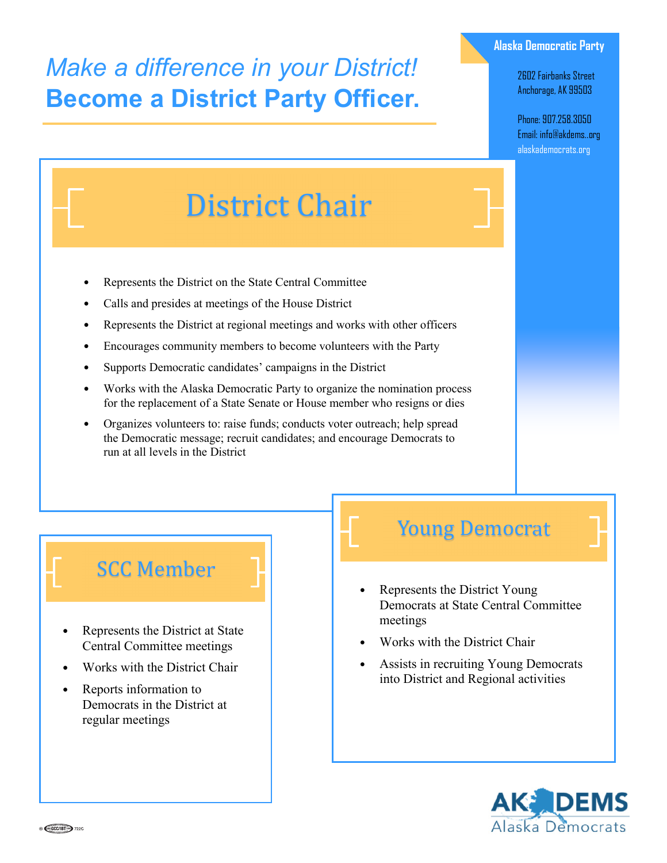## *Make a difference in your District!* **Become a District Party Officer.**

#### **Alaska Democratic Party**

2602 Fairbanks Street Anchorage, AK 99503

Phone: 907.258.3050 Email: info@akdems..org alaskademocrats.org

# District Chair

- Represents the District on the State Central Committee
- Calls and presides at meetings of the House District
- Represents the District at regional meetings and works with other officers
- Encourages community members to become volunteers with the Party
- Supports Democratic candidates' campaigns in the District
- Works with the Alaska Democratic Party to organize the nomination process for the replacement of a State Senate or House member who resigns or dies
- Organizes volunteers to: raise funds; conducts voter outreach; help spread the Democratic message; recruit candidates; and encourage Democrats to run at all levels in the District

### **SCC** Member

- Represents the District at State Central Committee meetings
- Works with the District Chair
- Reports information to Democrats in the District at regular meetings

### **Young Democrat**

- Represents the District Young Democrats at State Central Committee meetings
- Works with the District Chair
- Assists in recruiting Young Democrats into District and Regional activities